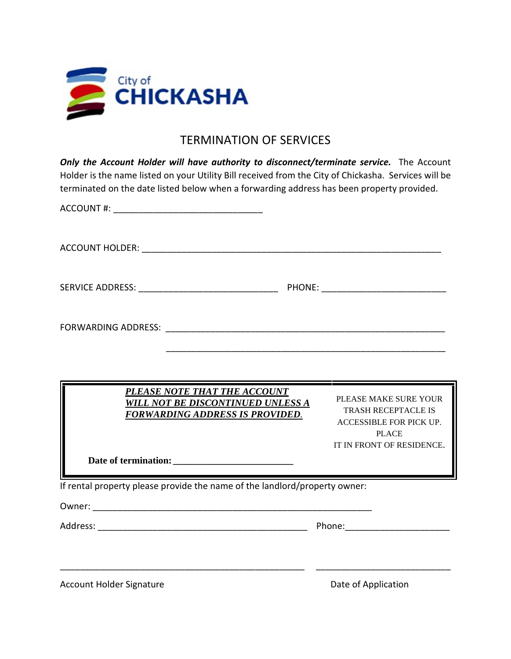

## TERMINATION OF SERVICES

**Only the Account Holder will have authority to disconnect/terminate service.** The Account Holder is the name listed on your Utility Bill received from the City of Chickasha. Services will be terminated on the date listed below when a forwarding address has been property provided.

| ACCOUNT #:                                                                                                         |                                                                                                                             |
|--------------------------------------------------------------------------------------------------------------------|-----------------------------------------------------------------------------------------------------------------------------|
|                                                                                                                    |                                                                                                                             |
|                                                                                                                    |                                                                                                                             |
|                                                                                                                    |                                                                                                                             |
|                                                                                                                    |                                                                                                                             |
| PLEASE NOTE THAT THE ACCOUNT<br><b>WILL NOT BE DISCONTINUED UNLESS A</b><br><b>FORWARDING ADDRESS IS PROVIDED.</b> | PLEASE MAKE SURE YOUR<br><b>TRASH RECEPTACLE IS</b><br>ACCESSIBLE FOR PICK UP.<br><b>PLACE</b><br>IT IN FRONT OF RESIDENCE. |
| If rental property please provide the name of the landlord/property owner:                                         |                                                                                                                             |
|                                                                                                                    |                                                                                                                             |
| <b>Account Holder Signature</b>                                                                                    | Date of Application                                                                                                         |